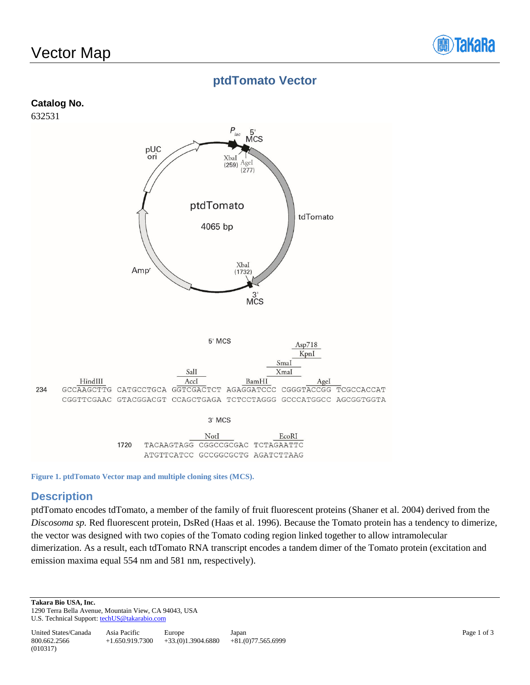## Vector Map



### **ptdTomato Vector**



**Figure 1. ptdTomato Vector map and multiple cloning sites (MCS).**

#### **Description**

ptdTomato encodes tdTomato, a member of the family of fruit fluorescent proteins (Shaner et al. 2004) derived from the *Discosoma sp.* Red fluorescent protein, DsRed (Haas et al. 1996). Because the Tomato protein has a tendency to dimerize, the vector was designed with two copies of the Tomato coding region linked together to allow intramolecular dimerization. As a result, each tdTomato RNA transcript encodes a tandem dimer of the Tomato protein (excitation and emission maxima equal 554 nm and 581 nm, respectively).

**Takara Bio USA, Inc.**  1290 Terra Bella Avenue, Mountain View, CA 94043, USA U.S. Technical Support[: techUS@takarabio.com](mailto:techUS@takarabio.com)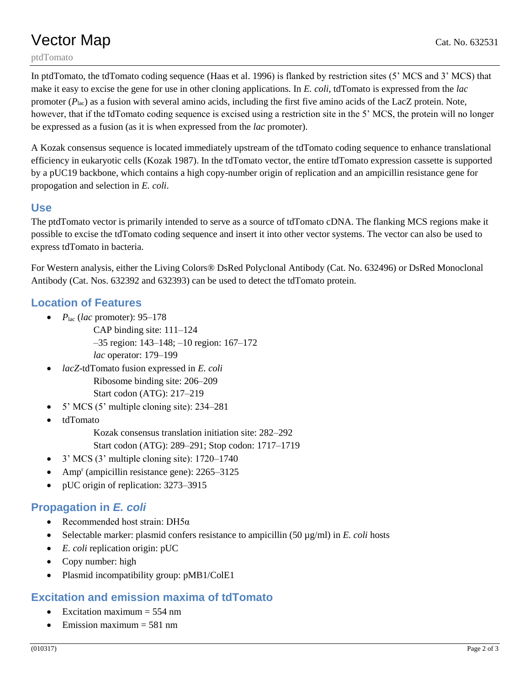# **Vector Map** Cat. No. 632531

ptdTomato

In ptdTomato, the tdTomato coding sequence (Haas et al. 1996) is flanked by restriction sites (5' MCS and 3' MCS) that make it easy to excise the gene for use in other cloning applications. In *E. coli*, tdTomato is expressed from the *lac*  promoter (*P*lac) as a fusion with several amino acids, including the first five amino acids of the LacZ protein. Note, however, that if the tdTomato coding sequence is excised using a restriction site in the 5' MCS, the protein will no longer be expressed as a fusion (as it is when expressed from the *lac* promoter).

A Kozak consensus sequence is located immediately upstream of the tdTomato coding sequence to enhance translational efficiency in eukaryotic cells (Kozak 1987). In the tdTomato vector, the entire tdTomato expression cassette is supported by a pUC19 backbone, which contains a high copy-number origin of replication and an ampicillin resistance gene for propogation and selection in *E. coli*.

#### **Use**

The ptdTomato vector is primarily intended to serve as a source of tdTomato cDNA. The flanking MCS regions make it possible to excise the tdTomato coding sequence and insert it into other vector systems. The vector can also be used to express tdTomato in bacteria.

For Western analysis, either the Living Colors® DsRed Polyclonal Antibody (Cat. No. 632496) or DsRed Monoclonal Antibody (Cat. Nos. 632392 and 632393) can be used to detect the tdTomato protein.

### **Location of Features**

- $P<sub>lac</sub>$  (*lac* promoter): 95–178
	- CAP binding site: 111–124 –35 region: 143–148; –10 region: 167–172 *lac* operator: 179–199
- *lacZ*-tdTomato fusion expressed in *E. coli* Ribosome binding site: 206–209 Start codon (ATG): 217–219
- $\bullet$  5' MCS (5' multiple cloning site): 234–281
- tdTomato Kozak consensus translation initiation site: 282–292 Start codon (ATG): 289–291; Stop codon: 1717–1719
- 3' MCS (3' multiple cloning site): 1720–1740
- Amp<sup>r</sup> (ampicillin resistance gene): 2265–3125
- pUC origin of replication: 3273–3915

## **Propagation in** *E. coli*

- Recommended host strain:  $DH5\alpha$
- Selectable marker: plasmid confers resistance to ampicillin (50 µg/ml) in *E. coli* hosts
- *E. coli* replication origin: pUC
- Copy number: high
- Plasmid incompatibility group: pMB1/ColE1

### **Excitation and emission maxima of tdTomato**

- Excitation maximum  $= 554$  nm
- Emission maximum  $= 581$  nm